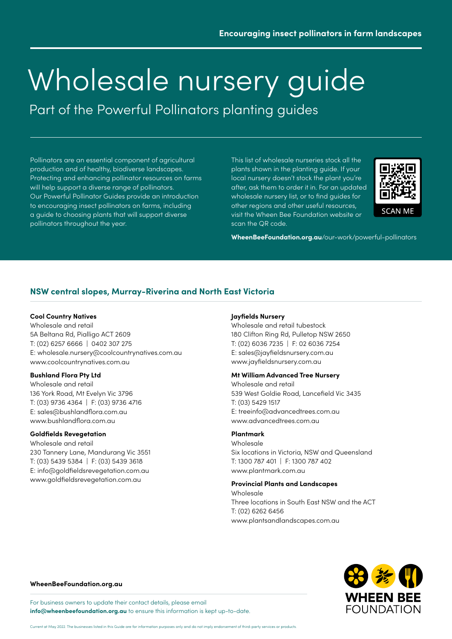Part of the Powerful Pollinators planting guides

Pollinators are an essential component of agricultural production and of healthy, biodiverse landscapes. Protecting and enhancing pollinator resources on farms will help support a diverse range of pollinators. Our Powerful Pollinator Guides provide an introduction to encouraging insect pollinators on farms, including a guide to choosing plants that will support diverse pollinators throughout the year.

This list of wholesale nurseries stock all the plants shown in the planting guide. If your local nursery doesn't stock the plant you're after, ask them to order it in. For an updated wholesale nursery list, or to find guides for other regions and other useful resources, visit the Wheen Bee Foundation website or scan the QR code.



**WheenBeeFoundation.org.au**[/our-work/powerful-pollinators](https://www.wheenbeefoundation.org.au/our-work/powerful-pollinators/)

# **NSW central slopes, Murray-Riverina and North East Victoria**

#### **Cool Country Natives**

Wholesale and retail 5A Beltana Rd, Pialligo ACT 2609 T: (02) 6257 6666 | 0402 307 275 E: [wholesale.nursery@coolcountrynatives.com.au](mailto:wholesale.nursery%40coolcountrynatives.com.au?subject=) www.coolcountrynatives.com.au

### **Bushland Flora Pty Ltd**

Wholesale and retail 136 York Road, Mt Evelyn Vic 3796 T: (03) 9736 4364 | F: (03) 9736 4716 E: [sales@bushlandflora.com.au](mailto:sales%40bushlandflora.com.au?subject=) www.bushlandflora.com.au

#### **Goldfields Revegetation**

Wholesale and retail 230 Tannery Lane, Mandurang Vic 3551 T: (03) 5439 5384 | F: (03) 5439 3618 E: [info@goldfieldsrevegetation.com.au](mailto:info%40goldfieldsrevegetation.com.au?subject=) www.goldfieldsrevegetation.com.au

#### **Jayfields Nursery**

Wholesale and retail tubestock 180 Clifton Ring Rd, Pulletop NSW 2650 T: (02) 6036 7235 | F: 02 6036 7254 E: [sales@jayfieldsnursery.com.au](mailto:sales%40jayfieldsnursery.com.au?subject=) www.jayfieldsnursery.com.au

# **Mt William Advanced Tree Nursery**

Wholesale and retail 539 West Goldie Road, Lancefield Vic 3435 T: (03) 5429 1517 E: treeinfo@advancedtrees.com.au www.advancedtrees.com.au

#### **Plantmark**

Wholesale Six locations in Victoria, NSW and Queensland T: 1300 787 401 | F: 1300 787 402 www.plantmark.com.au

### **Provincial Plants and Landscapes**

Wholesale Three locations in South East NSW and the ACT T: (02) 6262 6456 [www.plantsandlandscapes.com.au](http://www.plantsandlandscapes.com.au)



#### **[WheenBeeFoundation.org.au](https://www.wheenbeefoundation.org.au/)**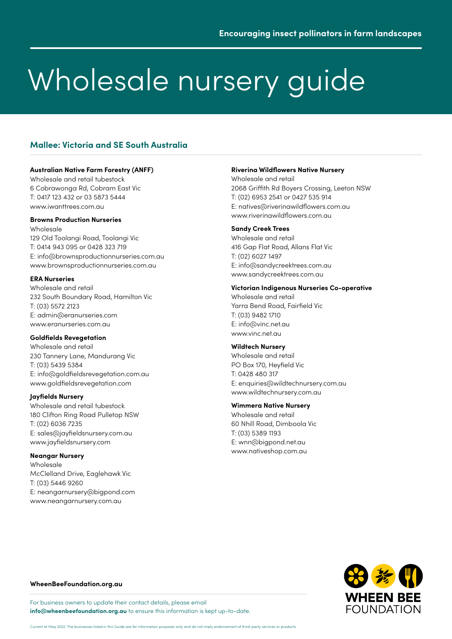# **Mallee: Victoria and SE South Australia**

#### **Australian Native Farm Forestry (ANFF)**

Wholesale and retail tubestock 6 Cobrawonga Rd, Cobram East Vic T: 0417 123 432 or 03 5873 5444 www.iwanttrees.com.au

#### **Browns Production Nurseries**

Wholesale 129 Old Toolangi Road, Toolangi Vic T: 0414 943 095 or 0428 323 719 E: info@brownsproductionnurseries.com.au www.brownsproductionnurseries.com.au

#### **ERA Nurseries**

Wholesale and retail 232 South Boundary Road, Hamilton Vic T: (03) 5572 2123 E: admin@eranurseries.com www.eranurseries.com.au

#### **Goldfields Revegetation**

Wholesale and retail 230 Tannery Lane, Mandurang Vic T: (03) 5439 5384 E: info@goldfieldsrevegetation.com.au www.goldfieldsrevegetation.com

### **Jayfields Nursery**

Wholesale and retail tubestock 180 Clifton Ring Road Pulletop NSW T: (02) 6036 7235 E: sales@jayfieldsnursery.com.au www.jayfieldsnursery.com

### **Neangar Nursery**

Wholesale McClelland Drive, Eaglehawk Vic T: (03) 5446 9260 E: neangarnursery@bigpond.com www.neangarnursery.com.au

#### **Riverina Wildflowers Native Nursery**

Wholesale and retail 2068 Griffith Rd Boyers Crossing, Leeton NSW T: (02) 6953 2541 or 0427 535 914 E: natives@riverinawildflowers.com.au www.riverinawildflowers.com.au

# **Sandy Creek Trees**

Wholesale and retail 416 Gap Flat Road, Allans Flat Vic T: (02) 6027 1497 E: info@sandycreektrees.com.au www.sandycreektrees.com.au

#### **Victorian Indigenous Nurseries Co-operative**

Wholesale and retail Yarra Bend Road, Fairfield Vic T: (03) 9482 1710 E: info@vinc.net.au www.vinc.net.au

### **Wildtech Nursery**

Wholesale and retail PO Box 170, Heyfield Vic T: 0428 480 317 E: enquiries@wildtechnursery.com.au www.wildtechnursery.com.au

#### **Wimmera Native Nursery**

Wholesale and retail 60 Nhill Road, Dimboola Vic T: (03) 5389 1193 E: wnn@bigpond.net.au www.nativeshop.com.au



#### **[WheenBeeFoundation.org.au](https://www.wheenbeefoundation.org.au/)**

For business owners to update their contact details, please email **[info@wheenbeefoundation.org.au](mailto:info%40wheenbeefoundation.org.au?subject=)** to ensure this information is kept up-to-date.

Current at May 2022. The businesses listed in this Guide are for information purposes only and do not imply endorsement of third-party services or products.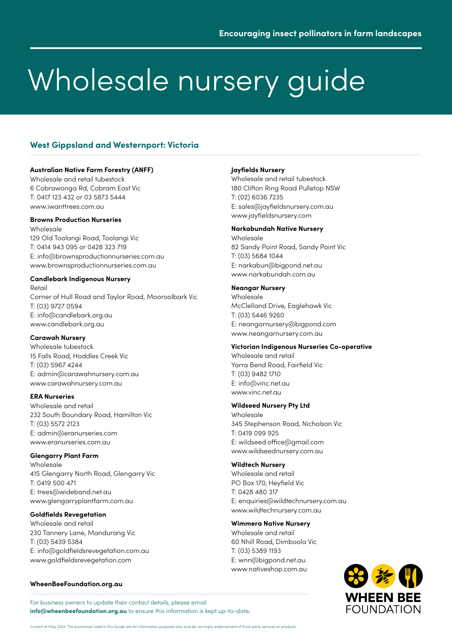# **West Gippsland and Westernport: Victoria**

## **Australian Native Farm Forestry (ANFF)**

Wholesale and retail tubestock 6 Cobrawonga Rd, Cobram East Vic T: 0417 123 432 or 03 5873 5444 www.iwanttrees.com.au

### **Browns Production Nurseries**

Wholesale 129 Old Toolangi Road, Toolangi Vic T: 0414 943 095 or 0428 323 719 E: info@brownsproductionnurseries.com.au www.brownsproductionnurseries.com.au

## **Candlebark Indigenous Nursery**

Retail Corner of Hull Road and Taylor Road, Mooroolbark Vic T: (03) 9727 0594 E: info@candlebark.org.au www.candlebark.org.au

### **Carawah Nursery**

Wholesale tubestock 15 Falls Road, Hoddles Creek Vic T: (03) 5967 4244 E: admin@carawahnursery.com.au www.carawahnursery.com.au

### **ERA Nurseries**

Wholesale and retail 232 South Boundary Road, Hamilton Vic T: (03) 5572 2123 E: admin@eranurseries.com www.eranurseries.com.au

### **Glengarry Plant Farm**

Wholesale 415 Glengarry North Road, Glengarry Vic T: 0419 500 471 E: trees@wideband.net.au www.glengarryplantfarm.com.au

### **Goldfields Revegetation**

Wholesale and retail 230 Tannery Lane, Mandurang Vic T: (03) 5439 5384 E: info@goldfieldsrevegetation.com.au www.goldfieldsrevegetation.com

### **[WheenBeeFoundation.org.au](https://www.wheenbeefoundation.org.au/)**

**Jayfields Nursery**

Wholesale and retail tubestock 180 Clifton Ring Road Pulletop NSW T: (02) 6036 7235 E: sales@jayfieldsnursery.com.au www.jayfieldsnursery.com

### **Narkabundah Native Nursery**

Wholesale 82 Sandy Point Road, Sandy Point Vic T: (03) 5684 1044 E: narkabun@bigpond.net.au www.narkabundah.com.au

### **Neangar Nursery**

Wholesale McClelland Drive, Eaglehawk Vic T: (03) 5446 9260 E: neangarnursery@bigpond.com www.neangarnursery.com.au

### **Victorian Indigenous Nurseries Co-operative**

Wholesale and retail Yarra Bend Road, Fairfield Vic T: (03) 9482 1710 E: info@vinc.net.au www.vinc.net.au

### **Wildseed Nursery Pty Ltd**

Wholesale 345 Stephenson Road, Nicholson Vic T: 0419 099 925 E: wildseed.office@gmail.com www.wildseednursery.com.au

### **Wildtech Nursery**

Wholesale and retail PO Box 170, Heyfield Vic T: 0428 480 317 E: enquiries@wildtechnursery.com.au www.wildtechnursery.com.au

### **Wimmera Native Nursery**

Wholesale and retail 60 Nhill Road, Dimboola Vic T: (03) 5389 1193 E: wnn@bigpond.net.au www.nativeshop.com.au

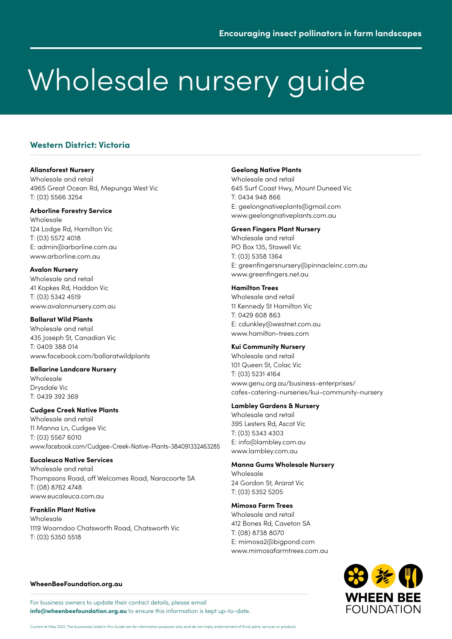# **Western District: Victoria**

#### **Allansforest Nursery**

Wholesale and retail 4965 Great Ocean Rd, Mepunga West Vic T: (03) 5566 3254

### **Arborline Forestry Service**

Wholesale 124 Lodge Rd, Hamilton Vic T: (03) 5572 4018 E: admin@arborline.com.au www.arborline.com.au

### **Avalon Nursery**

Wholesale and retail 41 Kopkes Rd, Haddon Vic T: (03) 5342 4519 www.avalonnursery.com.au

### **Ballarat Wild Plants**

Wholesale and retail 435 Joseph St, Canadian Vic T: 0409 388 014 www.facebook.com/ballaratwildplants

# **Bellarine Landcare Nursery**

Wholesale Drysdale Vic T: 0439 392 369

# **Cudgee Creek Native Plants**

Wholesale and retail 11 Manna Ln, Cudgee Vic T: (03) 5567 6010 www.facebook.com/Cudgee-Creek-Native-Plants-384091332463285

# **Eucaleuca Native Services**

Wholesale and retail Thompsons Road, off Welcomes Road, Naracoorte SA T: (08) 8762 4748 www.eucaleuca.com.au

# **Franklin Plant Native**

Wholesale 1119 Woorndoo Chatsworth Road, Chatsworth Vic T: (03) 5350 5518

### **Geelong Native Plants**

Wholesale and retail 645 Surf Coast Hwy, Mount Duneed Vic T: 0434 948 866 E: geelongnativeplants@gmail.com www.geelongnativeplants.com.au

### **Green Fingers Plant Nursery**

Wholesale and retail PO Box 135, Stawell Vic T: (03) 5358 1364 E: greenfingersnursery@pinnacleinc.com.au www.greenfingers.net.au

### **Hamilton Trees**

Wholesale and retail 11 Kennedy St Hamilton Vic T: 0429 608 863 E: cdunkley@westnet.com.au www.hamilton-trees.com

### **Kui Community Nursery**

Wholesale and retail 101 Queen St, Colac Vic T: (03) 5231 4164 [www.genu.org.au/business-enterprises/](http://www.genu.org.au/business-enterprises/cafes-catering-nurseries/kui-community-nursery) [cafes-catering-nurseries/kui-community-nursery](http://www.genu.org.au/business-enterprises/cafes-catering-nurseries/kui-community-nursery)

### **Lambley Gardens & Nursery**

Wholesale and retail 395 Lesters Rd, Ascot Vic T: (03) 5343 4303 E: info@lambley.com.au www.lambley.com.au

# **Manna Gums Wholesale Nursery**

Wholesale 24 Gordon St, Ararat Vic T: (03) 5352 5205

# **Mimosa Farm Trees**

Wholesale and retail 412 Bones Rd, Caveton SA T: (08) 8738 8070 E: mimosa2@bigpond.com www.mimosafarmtrees.com.au



#### **[WheenBeeFoundation.org.au](https://www.wheenbeefoundation.org.au/)**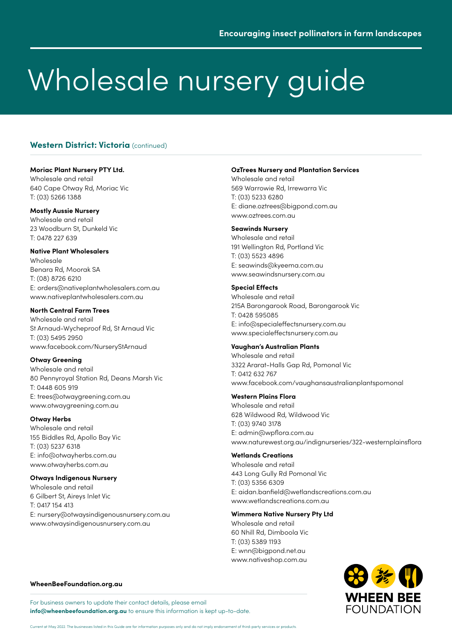# **Western District: Victoria** (continued)

## **Moriac Plant Nursery PTY Ltd.**

Wholesale and retail 640 Cape Otway Rd, Moriac Vic T: (03) 5266 1388

# **Mostly Aussie Nursery**

Wholesale and retail 23 Woodburn St, Dunkeld Vic T: 0478 227 639

## **Native Plant Wholesalers**

Wholesale Benara Rd, Moorak SA T: (08) 8726 6210 E: orders@nativeplantwholesalers.com.au www.nativeplantwholesalers.com.au

## **North Central Farm Trees**

Wholesale and retail St Arnaud-Wycheproof Rd, St Arnaud Vic T: (03) 5495 2950 www.facebook.com/NurseryStArnaud

# **Otway Greening**

Wholesale and retail 80 Pennyroyal Station Rd, Deans Marsh Vic T: 0448 605 919 E: trees@otwaygreening.com.au www.otwaygreening.com.au

### **Otway Herbs**

Wholesale and retail 155 Biddles Rd, Apollo Bay Vic T: (03) 5237 6318 E: info@otwayherbs.com.au www.otwayherbs.com.au

# **Otways Indigenous Nursery**

Wholesale and retail 6 Gilbert St, Aireys Inlet Vic T: 0417 154 413 E: nursery@otwaysindigenousnursery.com.au www.otwaysindigenousnursery.com.au

### **OzTrees Nursery and Plantation Services**

Wholesale and retail 569 Warrowie Rd, Irrewarra Vic T: (03) 5233 6280 E: diane.oztrees@bigpond.com.au www.oztrees.com.au

### **Seawinds Nursery**

Wholesale and retail 191 Wellington Rd, Portland Vic T: (03) 5523 4896 E: seawinds@kyeema.com.au www.seawindsnursery.com.au

### **Special Effects**

Wholesale and retail 215A Barongarook Road, Barongarook Vic T: 0428 595085 E: info@specialeffectsnursery.com.au www.specialeffectsnursery.com.au

# **Vaughan's Australian Plants**

Wholesale and retail 3322 Ararat-Halls Gap Rd, Pomonal Vic T: 0412 632 767 www.facebook.com/vaughansaustralianplantspomonal

### **Western Plains Flora**

Wholesale and retail 628 Wildwood Rd, Wildwood Vic T: (03) 9740 3178 E: admin@wpflora.com.au www.naturewest.org.au/indignurseries/322-westernplainsflora

# **Wetlands Creations**

Wholesale and retail 443 Long Gully Rd Pomonal Vic T: (03) 5356 6309 E: aidan.banfield@wetlandscreations.com.au www.wetlandscreations.com.au

# **Wimmera Native Nursery Pty Ltd**

Wholesale and retail 60 Nhill Rd, Dimboola Vic T: (03) 5389 1193 E: wnn@bigpond.net.au www.nativeshop.com.au



#### **[WheenBeeFoundation.org.au](https://www.wheenbeefoundation.org.au/)**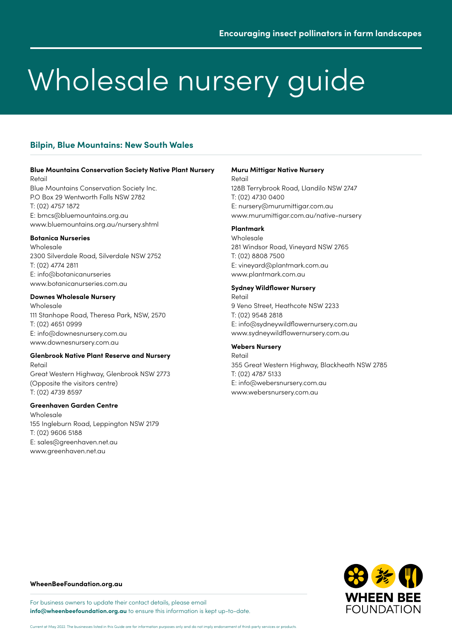# **Bilpin, Blue Mountains: New South Wales**

#### **Blue Mountains Conservation Society Native Plant Nursery** Retail

Blue Mountains Conservation Society Inc. P.O Box 29 Wentworth Falls NSW 2782 T: (02) 4757 1872 E: [bmcs@bluemountains.org.au](mailto:bmcs%40bluemountains.org.au?subject=) [www.bluemountains.org.au/nursery.shtml](https://www.bluemountains.org.au/nursery.shtml)

#### **Botanica Nurseries**

Wholesale 2300 Silverdale Road, Silverdale NSW 2752 T: (02) 4774 2811 E: [info@botanicanurseries](mailto:info%40botanicanurseries?subject=) [www.botanicanurseries.com.au](http://www.botanicanurseries.com.au/)

## **Downes Wholesale Nursery**

Wholesale 111 Stanhope Road, Theresa Park, NSW, 2570 T: (02) 4651 0999 E: [info@downesnursery.com.au](mailto:info%40downesnursery.com.au?subject=) [www.downesnursery.com.au](https://www.downesnursery.com.au/)

#### **Glenbrook Native Plant Reserve and Nursery** Retail

Great Western Highway, Glenbrook NSW 2773 (Opposite the visitors centre) T: (02) 4739 8597

### **Greenhaven Garden Centre**

Wholesale 155 Ingleburn Road, Leppington NSW 2179 T: (02) 9606 5188 E: [sales@greenhaven.net.au](mailto:sales%40greenhaven.net.au?subject=) [www.greenhaven.net.au](http://www.greenhaven.net.au/)

## **Muru Mittigar Native Nursery**

Retail 128B Terrybrook Road, Llandilo NSW 2747 T: (02) 4730 0400 E: [nursery@murumittigar.com.au](mailto:nursery%40murumittigar.com.au?subject=) [www.murumittigar.com.au/native-nursery](https://www.murumittigar.com.au/native-nursery/)

# **Plantmark**

Wholesale 281 Windsor Road, Vineyard NSW 2765 T: (02) 8808 7500 E: [vineyard@plantmark.com.au](mailto:vineyard%40plantmark.com.au?subject=) [www.plantmark.com.au](https://www.plantmark.com.au/)

#### **Sydney Wildflower Nursery**

Retail 9 Veno Street, Heathcote NSW 2233 T: (02) 9548 2818 E: [info@sydneywildflowernursery.com.au](mailto:info%40sydneywildflowernursery.com.au?subject=) [www.sydneywildflowernursery.com.au](https://www.sydneywildflowernursery.com.au/)

### **Webers Nursery**

Retail 355 Great Western Highway, Blackheath NSW 2785 T: (02) 4787 5133 E: [info@webersnursery.com.au](mailto:info%40webersnursery.com.au?subject=) [www.webersnursery.com.au](http://www.webersnursery.com.au/)



### **[WheenBeeFoundation.org.au](https://www.wheenbeefoundation.org.au/)**